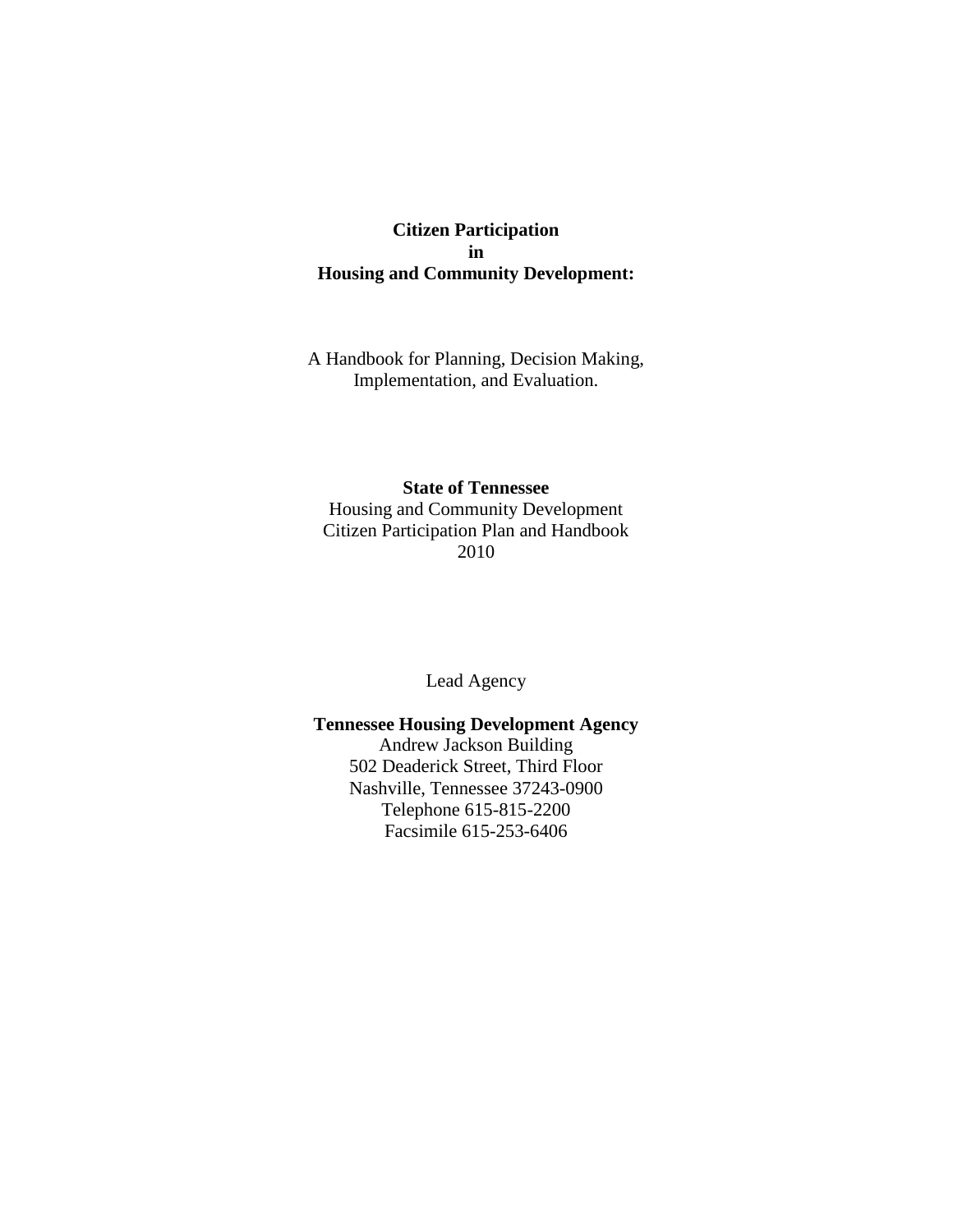## **Citizen Participation in Housing and Community Development:**

A Handbook for Planning, Decision Making, Implementation, and Evaluation.

## **State of Tennessee**

Housing and Community Development Citizen Participation Plan and Handbook 2010

Lead Agency

**Tennessee Housing Development Agency** Andrew Jackson Building 502 Deaderick Street, Third Floor Nashville, Tennessee 37243-0900 Telephone 615-815-2200 Facsimile 615-253-6406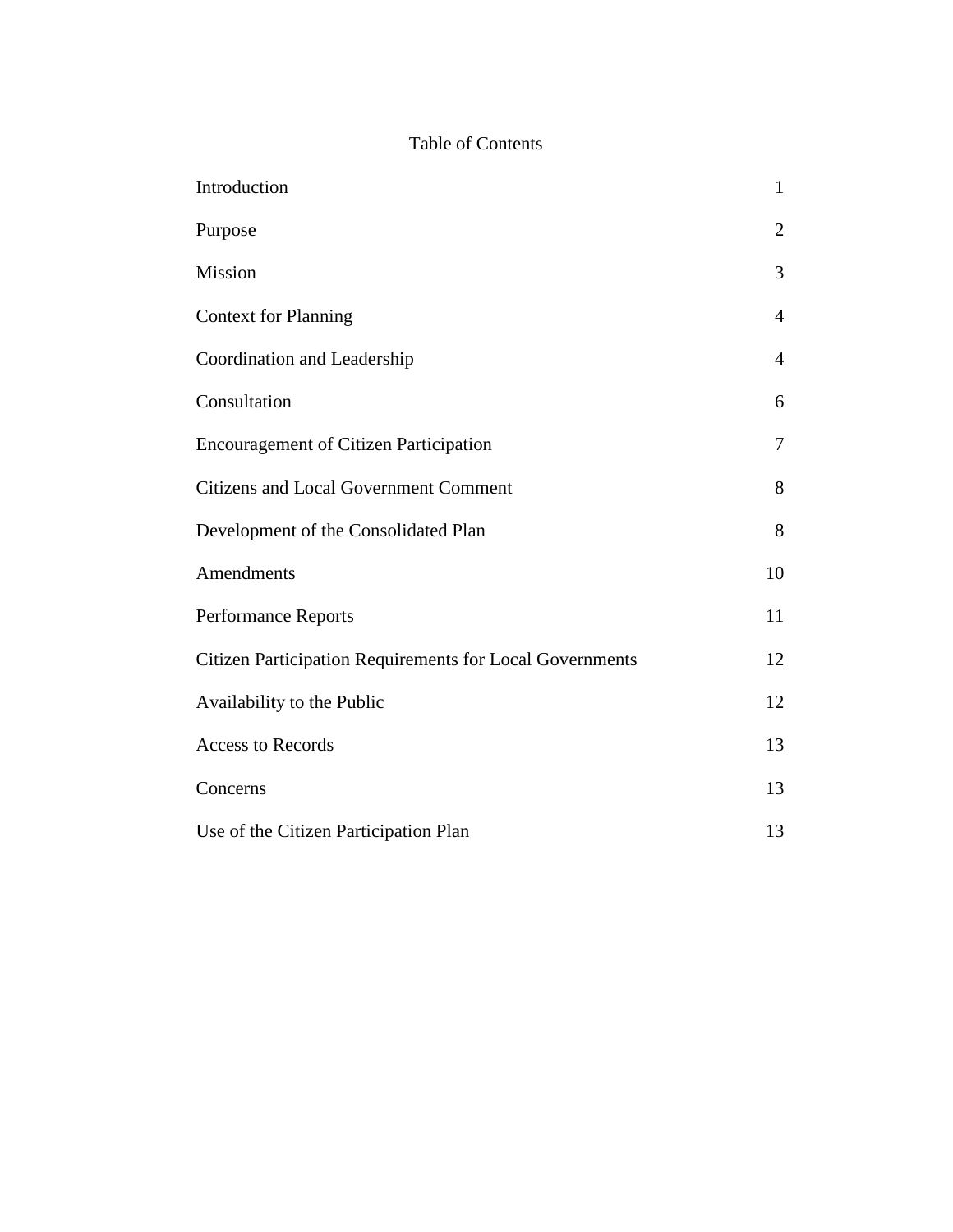# Table of Contents

| Introduction                                             | $\mathbf{1}$   |
|----------------------------------------------------------|----------------|
| Purpose                                                  | $\overline{2}$ |
| Mission                                                  | 3              |
| <b>Context for Planning</b>                              | $\overline{4}$ |
| Coordination and Leadership                              | $\overline{4}$ |
| Consultation                                             | 6              |
| <b>Encouragement of Citizen Participation</b>            | 7              |
| <b>Citizens and Local Government Comment</b>             | 8              |
| Development of the Consolidated Plan                     | 8              |
| Amendments                                               | 10             |
| Performance Reports                                      | 11             |
| Citizen Participation Requirements for Local Governments | 12             |
| Availability to the Public                               | 12             |
| <b>Access to Records</b>                                 | 13             |
| Concerns                                                 | 13             |
| Use of the Citizen Participation Plan                    | 13             |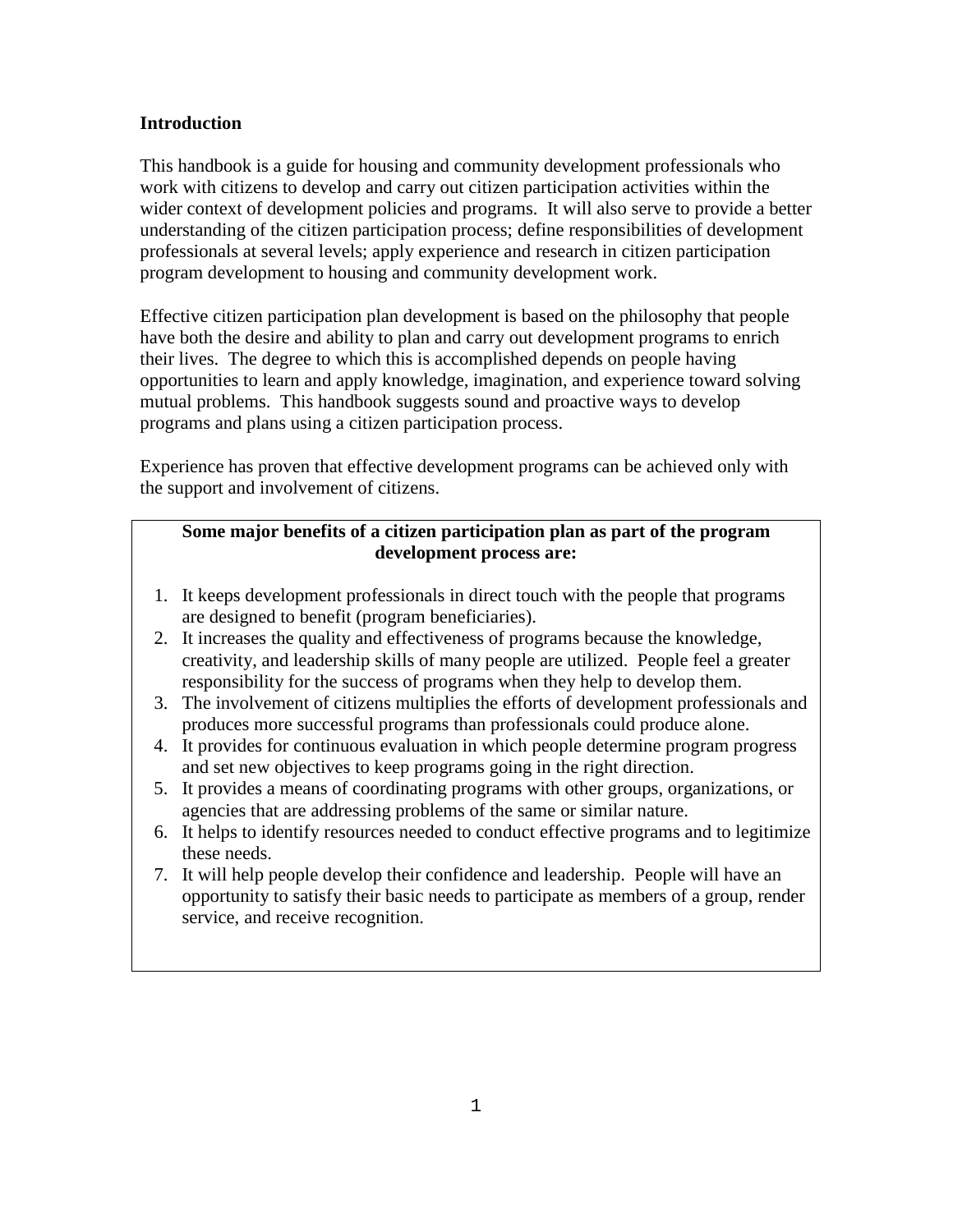## **Introduction**

This handbook is a guide for housing and community development professionals who work with citizens to develop and carry out citizen participation activities within the wider context of development policies and programs. It will also serve to provide a better understanding of the citizen participation process; define responsibilities of development professionals at several levels; apply experience and research in citizen participation program development to housing and community development work.

Effective citizen participation plan development is based on the philosophy that people have both the desire and ability to plan and carry out development programs to enrich their lives. The degree to which this is accomplished depends on people having opportunities to learn and apply knowledge, imagination, and experience toward solving mutual problems. This handbook suggests sound and proactive ways to develop programs and plans using a citizen participation process.

Experience has proven that effective development programs can be achieved only with the support and involvement of citizens.

## **Some major benefits of a citizen participation plan as part of the program development process are:**

- 1. It keeps development professionals in direct touch with the people that programs are designed to benefit (program beneficiaries).
- 2. It increases the quality and effectiveness of programs because the knowledge, creativity, and leadership skills of many people are utilized. People feel a greater responsibility for the success of programs when they help to develop them.
- 3. The involvement of citizens multiplies the efforts of development professionals and produces more successful programs than professionals could produce alone.
- 4. It provides for continuous evaluation in which people determine program progress and set new objectives to keep programs going in the right direction.
- 5. It provides a means of coordinating programs with other groups, organizations, or agencies that are addressing problems of the same or similar nature.
- 6. It helps to identify resources needed to conduct effective programs and to legitimize these needs.
- 7. It will help people develop their confidence and leadership. People will have an opportunity to satisfy their basic needs to participate as members of a group, render service, and receive recognition.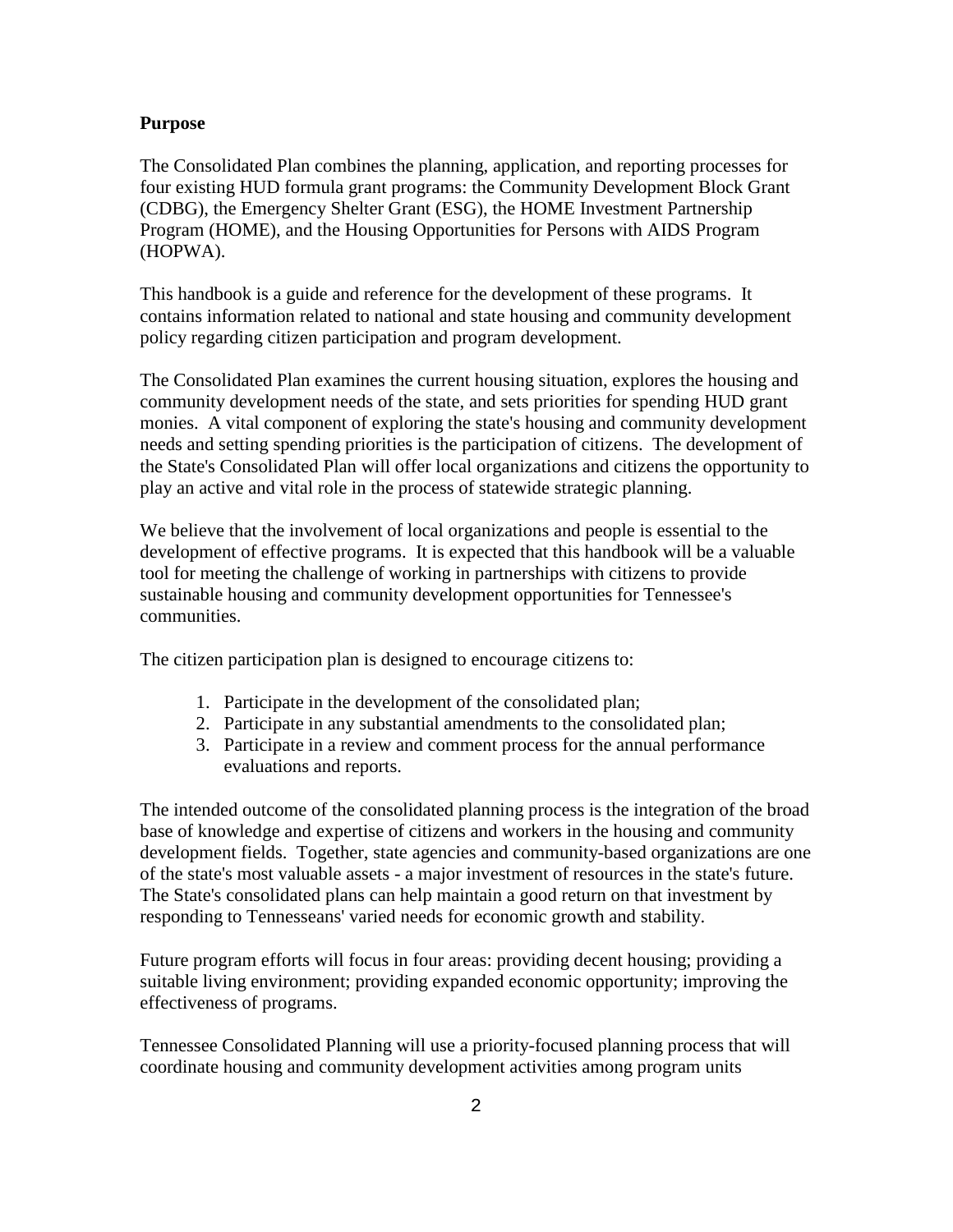#### **Purpose**

The Consolidated Plan combines the planning, application, and reporting processes for four existing HUD formula grant programs: the Community Development Block Grant (CDBG), the Emergency Shelter Grant (ESG), the HOME Investment Partnership Program (HOME), and the Housing Opportunities for Persons with AIDS Program (HOPWA).

This handbook is a guide and reference for the development of these programs. It contains information related to national and state housing and community development policy regarding citizen participation and program development.

The Consolidated Plan examines the current housing situation, explores the housing and community development needs of the state, and sets priorities for spending HUD grant monies. A vital component of exploring the state's housing and community development needs and setting spending priorities is the participation of citizens. The development of the State's Consolidated Plan will offer local organizations and citizens the opportunity to play an active and vital role in the process of statewide strategic planning.

We believe that the involvement of local organizations and people is essential to the development of effective programs. It is expected that this handbook will be a valuable tool for meeting the challenge of working in partnerships with citizens to provide sustainable housing and community development opportunities for Tennessee's communities.

The citizen participation plan is designed to encourage citizens to:

- 1. Participate in the development of the consolidated plan;
- 2. Participate in any substantial amendments to the consolidated plan;
- 3. Participate in a review and comment process for the annual performance evaluations and reports.

The intended outcome of the consolidated planning process is the integration of the broad base of knowledge and expertise of citizens and workers in the housing and community development fields. Together, state agencies and community-based organizations are one of the state's most valuable assets - a major investment of resources in the state's future. The State's consolidated plans can help maintain a good return on that investment by responding to Tennesseans' varied needs for economic growth and stability.

Future program efforts will focus in four areas: providing decent housing; providing a suitable living environment; providing expanded economic opportunity; improving the effectiveness of programs.

Tennessee Consolidated Planning will use a priority-focused planning process that will coordinate housing and community development activities among program units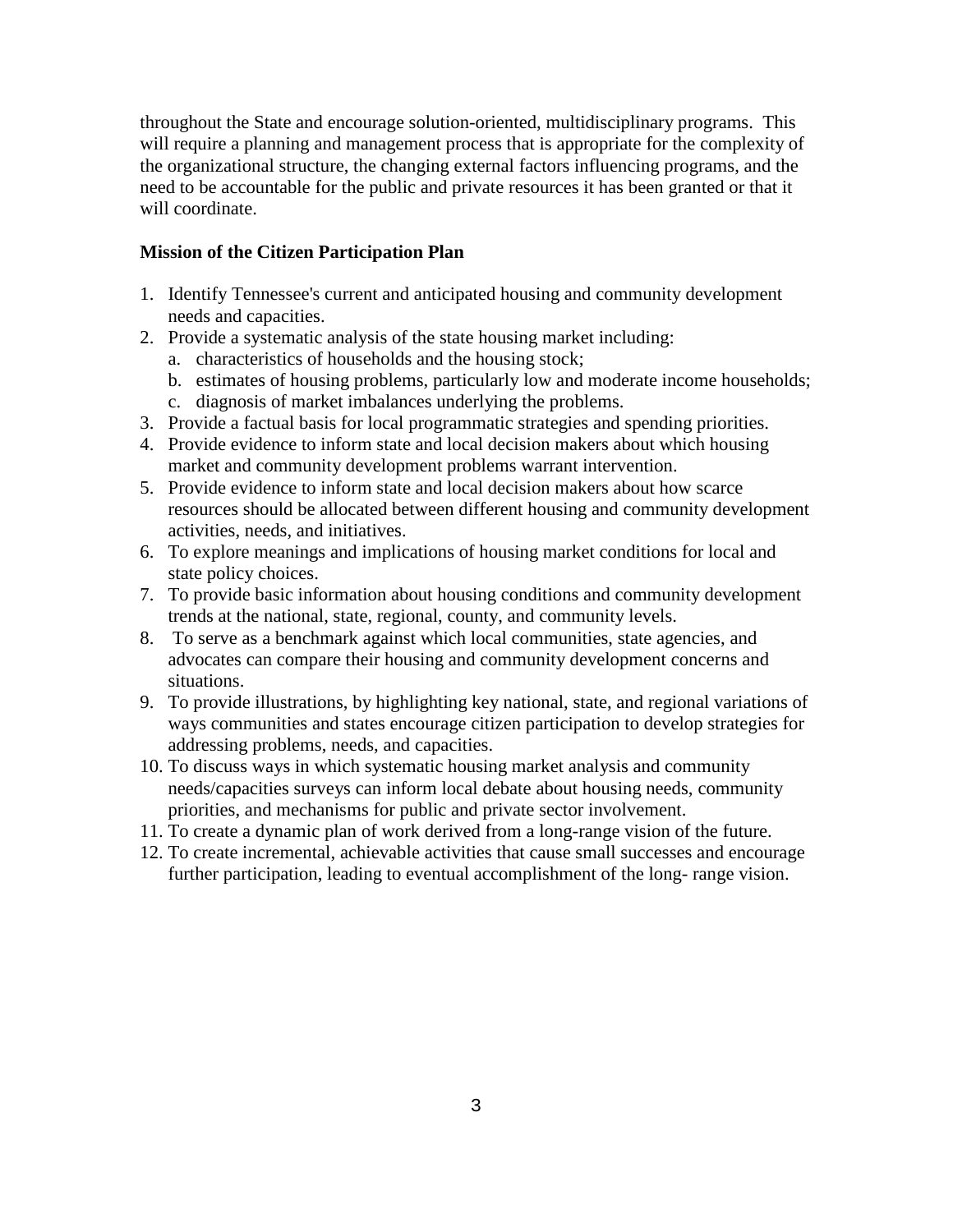throughout the State and encourage solution-oriented, multidisciplinary programs. This will require a planning and management process that is appropriate for the complexity of the organizational structure, the changing external factors influencing programs, and the need to be accountable for the public and private resources it has been granted or that it will coordinate.

## **Mission of the Citizen Participation Plan**

- 1. Identify Tennessee's current and anticipated housing and community development needs and capacities.
- 2. Provide a systematic analysis of the state housing market including:
	- a. characteristics of households and the housing stock;
	- b. estimates of housing problems, particularly low and moderate income households;
	- c. diagnosis of market imbalances underlying the problems.
- 3. Provide a factual basis for local programmatic strategies and spending priorities.
- 4. Provide evidence to inform state and local decision makers about which housing market and community development problems warrant intervention.
- 5. Provide evidence to inform state and local decision makers about how scarce resources should be allocated between different housing and community development activities, needs, and initiatives.
- 6. To explore meanings and implications of housing market conditions for local and state policy choices.
- 7. To provide basic information about housing conditions and community development trends at the national, state, regional, county, and community levels.
- 8. To serve as a benchmark against which local communities, state agencies, and advocates can compare their housing and community development concerns and situations.
- 9. To provide illustrations, by highlighting key national, state, and regional variations of ways communities and states encourage citizen participation to develop strategies for addressing problems, needs, and capacities.
- 10. To discuss ways in which systematic housing market analysis and community needs/capacities surveys can inform local debate about housing needs, community priorities, and mechanisms for public and private sector involvement.
- 11. To create a dynamic plan of work derived from a long-range vision of the future.
- 12. To create incremental, achievable activities that cause small successes and encourage further participation, leading to eventual accomplishment of the long- range vision.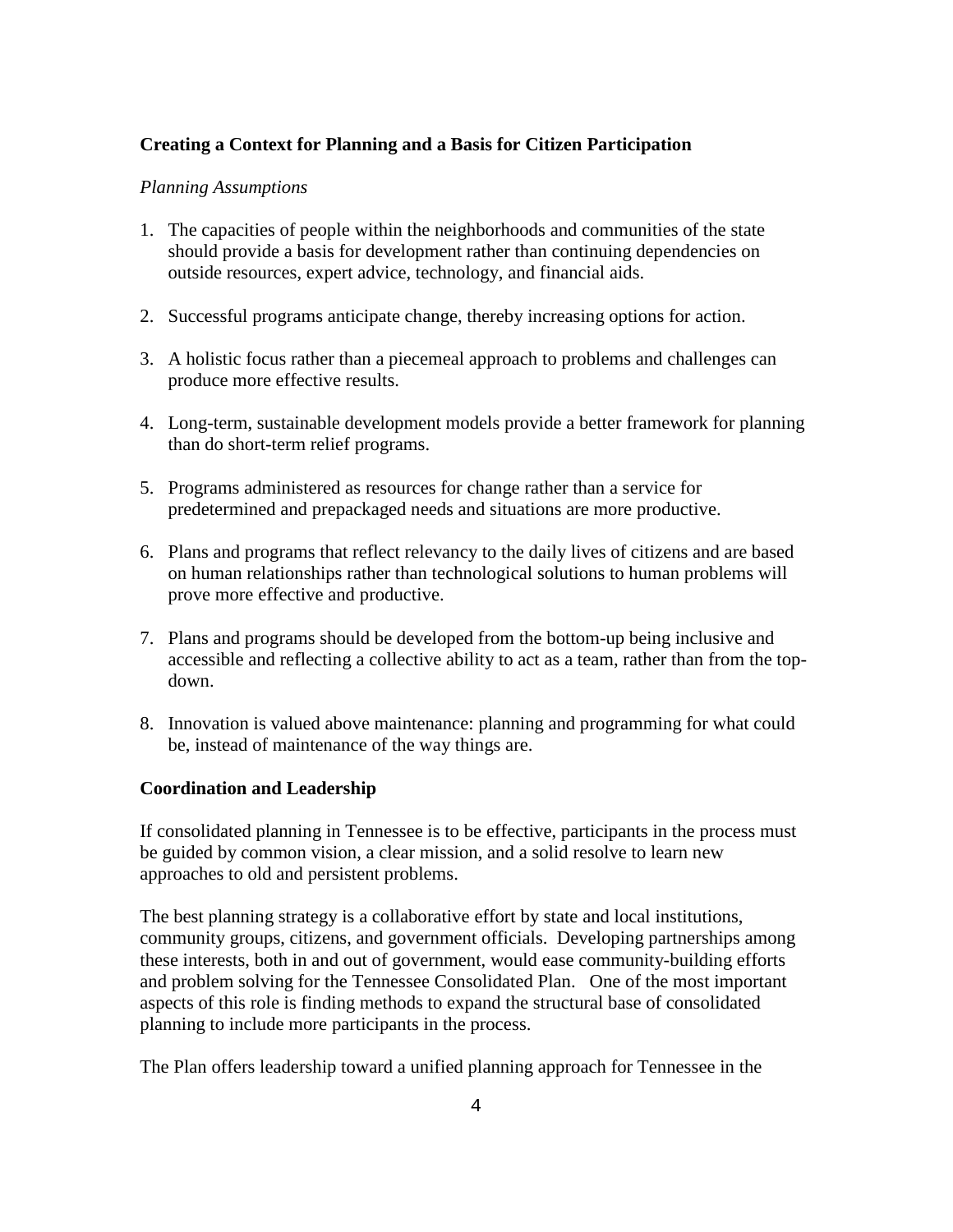## **Creating a Context for Planning and a Basis for Citizen Participation**

#### *Planning Assumptions*

- 1. The capacities of people within the neighborhoods and communities of the state should provide a basis for development rather than continuing dependencies on outside resources, expert advice, technology, and financial aids.
- 2. Successful programs anticipate change, thereby increasing options for action.
- 3. A holistic focus rather than a piecemeal approach to problems and challenges can produce more effective results.
- 4. Long-term, sustainable development models provide a better framework for planning than do short-term relief programs.
- 5. Programs administered as resources for change rather than a service for predetermined and prepackaged needs and situations are more productive.
- 6. Plans and programs that reflect relevancy to the daily lives of citizens and are based on human relationships rather than technological solutions to human problems will prove more effective and productive.
- 7. Plans and programs should be developed from the bottom-up being inclusive and accessible and reflecting a collective ability to act as a team, rather than from the topdown.
- 8. Innovation is valued above maintenance: planning and programming for what could be, instead of maintenance of the way things are.

### **Coordination and Leadership**

If consolidated planning in Tennessee is to be effective, participants in the process must be guided by common vision, a clear mission, and a solid resolve to learn new approaches to old and persistent problems.

The best planning strategy is a collaborative effort by state and local institutions, community groups, citizens, and government officials. Developing partnerships among these interests, both in and out of government, would ease community-building efforts and problem solving for the Tennessee Consolidated Plan. One of the most important aspects of this role is finding methods to expand the structural base of consolidated planning to include more participants in the process.

The Plan offers leadership toward a unified planning approach for Tennessee in the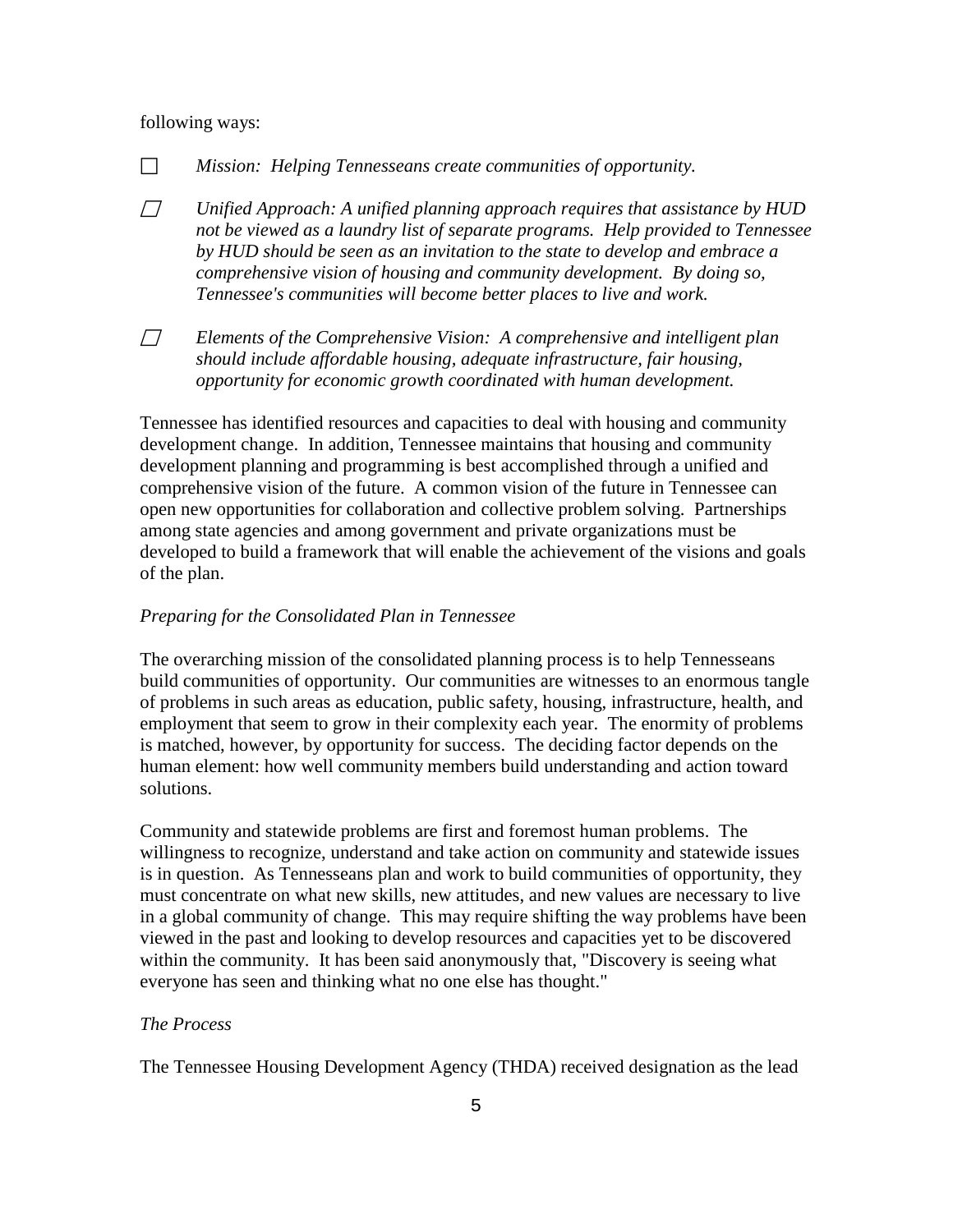#### following ways:

*Mission: Helping Tennesseans create communities of opportunity.*

- *Unified Approach: A unified planning approach requires that assistance by HUD not be viewed as a laundry list of separate programs. Help provided to Tennessee by HUD should be seen as an invitation to the state to develop and embrace a comprehensive vision of housing and community development. By doing so, Tennessee's communities will become better places to live and work.*
- *Elements of the Comprehensive Vision: A comprehensive and intelligent plan should include affordable housing, adequate infrastructure, fair housing, opportunity for economic growth coordinated with human development.*

Tennessee has identified resources and capacities to deal with housing and community development change. In addition, Tennessee maintains that housing and community development planning and programming is best accomplished through a unified and comprehensive vision of the future. A common vision of the future in Tennessee can open new opportunities for collaboration and collective problem solving. Partnerships among state agencies and among government and private organizations must be developed to build a framework that will enable the achievement of the visions and goals of the plan.

#### *Preparing for the Consolidated Plan in Tennessee*

The overarching mission of the consolidated planning process is to help Tennesseans build communities of opportunity. Our communities are witnesses to an enormous tangle of problems in such areas as education, public safety, housing, infrastructure, health, and employment that seem to grow in their complexity each year. The enormity of problems is matched, however, by opportunity for success. The deciding factor depends on the human element: how well community members build understanding and action toward solutions.

Community and statewide problems are first and foremost human problems. The willingness to recognize, understand and take action on community and statewide issues is in question. As Tennesseans plan and work to build communities of opportunity, they must concentrate on what new skills, new attitudes, and new values are necessary to live in a global community of change. This may require shifting the way problems have been viewed in the past and looking to develop resources and capacities yet to be discovered within the community. It has been said anonymously that, "Discovery is seeing what everyone has seen and thinking what no one else has thought."

#### *The Process*

The Tennessee Housing Development Agency (THDA) received designation as the lead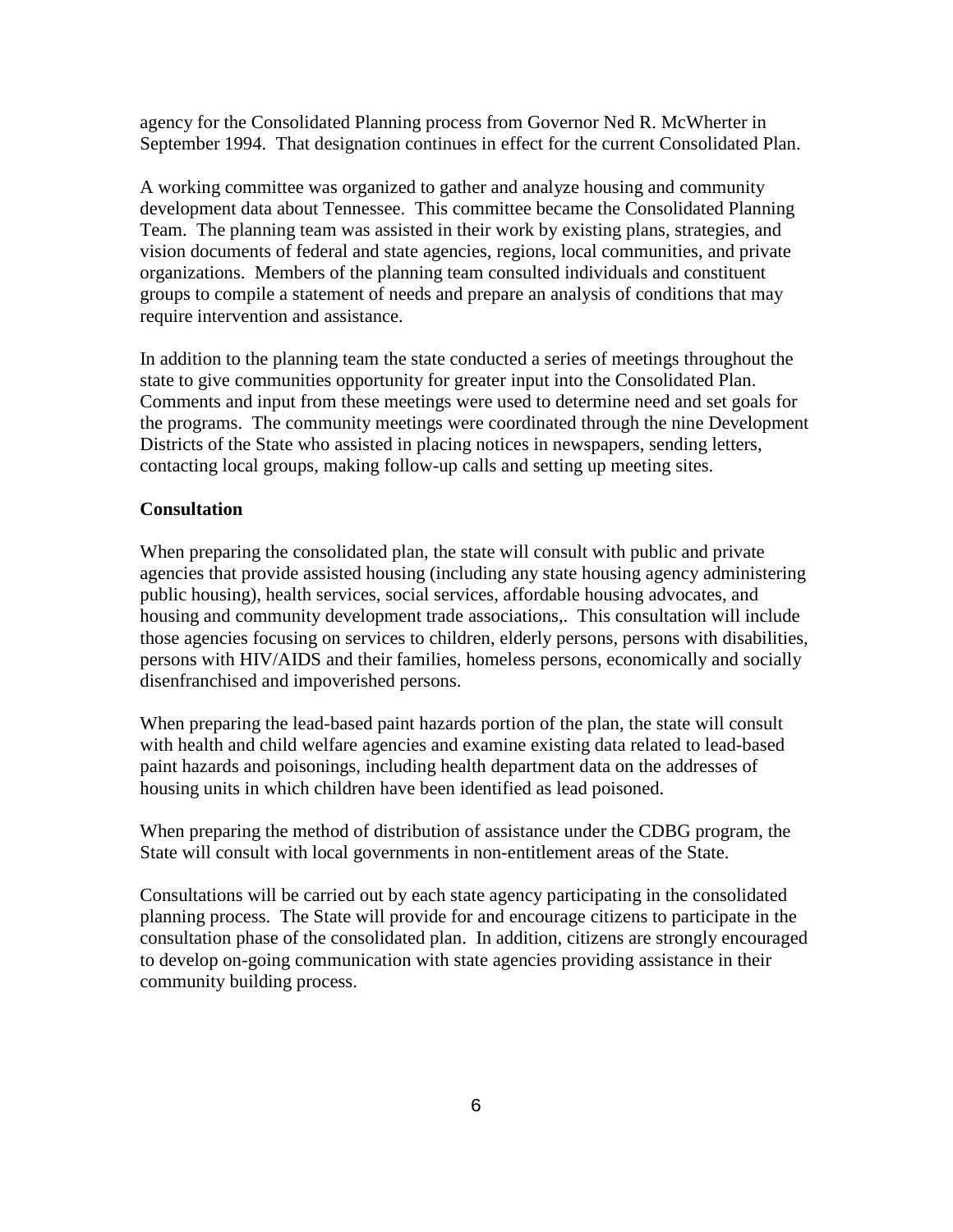agency for the Consolidated Planning process from Governor Ned R. McWherter in September 1994. That designation continues in effect for the current Consolidated Plan.

A working committee was organized to gather and analyze housing and community development data about Tennessee. This committee became the Consolidated Planning Team. The planning team was assisted in their work by existing plans, strategies, and vision documents of federal and state agencies, regions, local communities, and private organizations. Members of the planning team consulted individuals and constituent groups to compile a statement of needs and prepare an analysis of conditions that may require intervention and assistance.

In addition to the planning team the state conducted a series of meetings throughout the state to give communities opportunity for greater input into the Consolidated Plan. Comments and input from these meetings were used to determine need and set goals for the programs. The community meetings were coordinated through the nine Development Districts of the State who assisted in placing notices in newspapers, sending letters, contacting local groups, making follow-up calls and setting up meeting sites.

#### **Consultation**

When preparing the consolidated plan, the state will consult with public and private agencies that provide assisted housing (including any state housing agency administering public housing), health services, social services, affordable housing advocates, and housing and community development trade associations,. This consultation will include those agencies focusing on services to children, elderly persons, persons with disabilities, persons with HIV/AIDS and their families, homeless persons, economically and socially disenfranchised and impoverished persons.

When preparing the lead-based paint hazards portion of the plan, the state will consult with health and child welfare agencies and examine existing data related to lead-based paint hazards and poisonings, including health department data on the addresses of housing units in which children have been identified as lead poisoned.

When preparing the method of distribution of assistance under the CDBG program, the State will consult with local governments in non-entitlement areas of the State.

Consultations will be carried out by each state agency participating in the consolidated planning process. The State will provide for and encourage citizens to participate in the consultation phase of the consolidated plan. In addition, citizens are strongly encouraged to develop on-going communication with state agencies providing assistance in their community building process.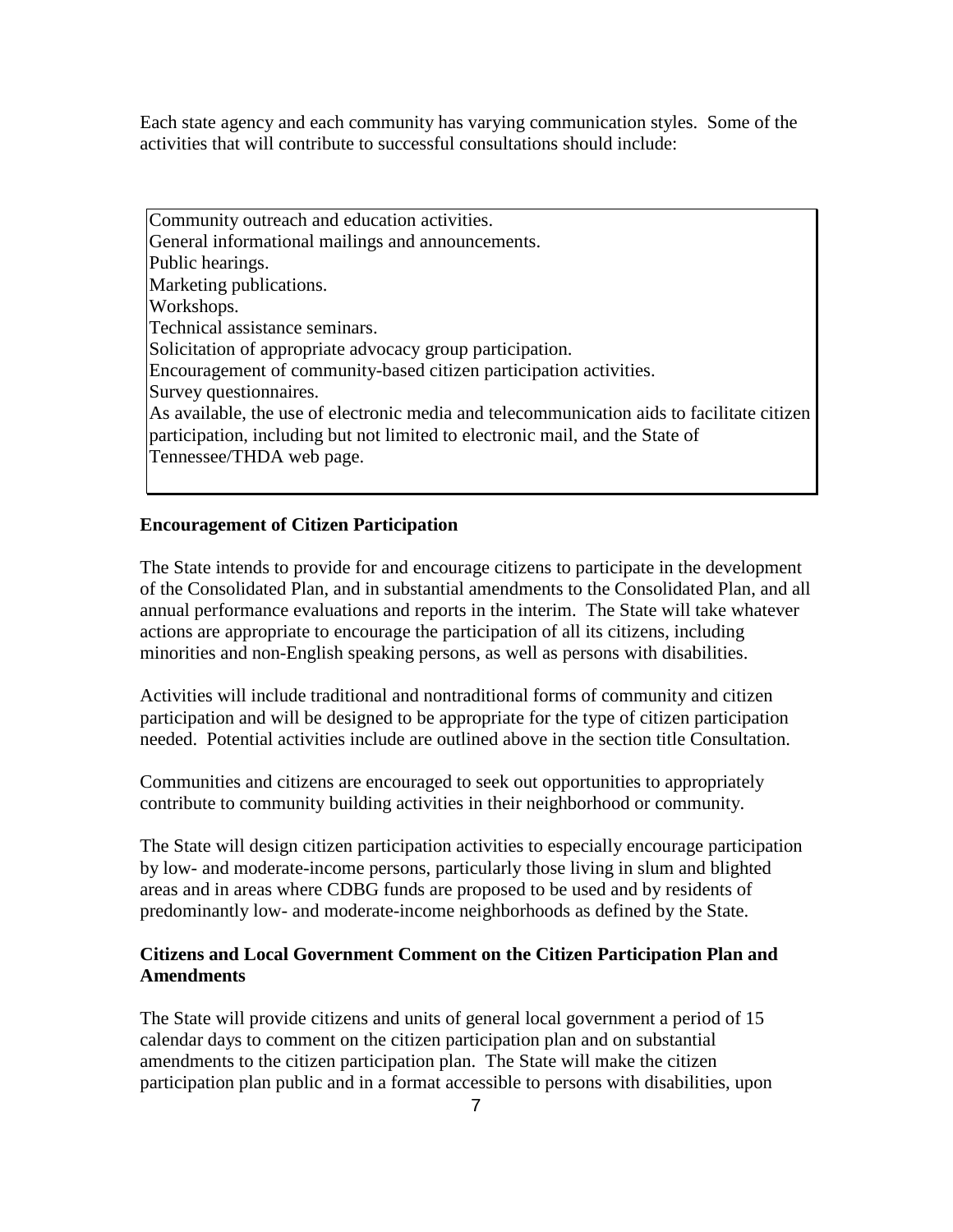Each state agency and each community has varying communication styles. Some of the activities that will contribute to successful consultations should include:

Community outreach and education activities. General informational mailings and announcements. Public hearings. Marketing publications. Workshops. Technical assistance seminars. Solicitation of appropriate advocacy group participation. Encouragement of community-based citizen participation activities. Survey questionnaires. As available, the use of electronic media and telecommunication aids to facilitate citizen participation, including but not limited to electronic mail, and the State of Tennessee/THDA web page.

### **Encouragement of Citizen Participation**

The State intends to provide for and encourage citizens to participate in the development of the Consolidated Plan, and in substantial amendments to the Consolidated Plan, and all annual performance evaluations and reports in the interim. The State will take whatever actions are appropriate to encourage the participation of all its citizens, including minorities and non-English speaking persons, as well as persons with disabilities.

Activities will include traditional and nontraditional forms of community and citizen participation and will be designed to be appropriate for the type of citizen participation needed. Potential activities include are outlined above in the section title Consultation.

Communities and citizens are encouraged to seek out opportunities to appropriately contribute to community building activities in their neighborhood or community.

The State will design citizen participation activities to especially encourage participation by low- and moderate-income persons, particularly those living in slum and blighted areas and in areas where CDBG funds are proposed to be used and by residents of predominantly low- and moderate-income neighborhoods as defined by the State.

### **Citizens and Local Government Comment on the Citizen Participation Plan and Amendments**

The State will provide citizens and units of general local government a period of 15 calendar days to comment on the citizen participation plan and on substantial amendments to the citizen participation plan. The State will make the citizen participation plan public and in a format accessible to persons with disabilities, upon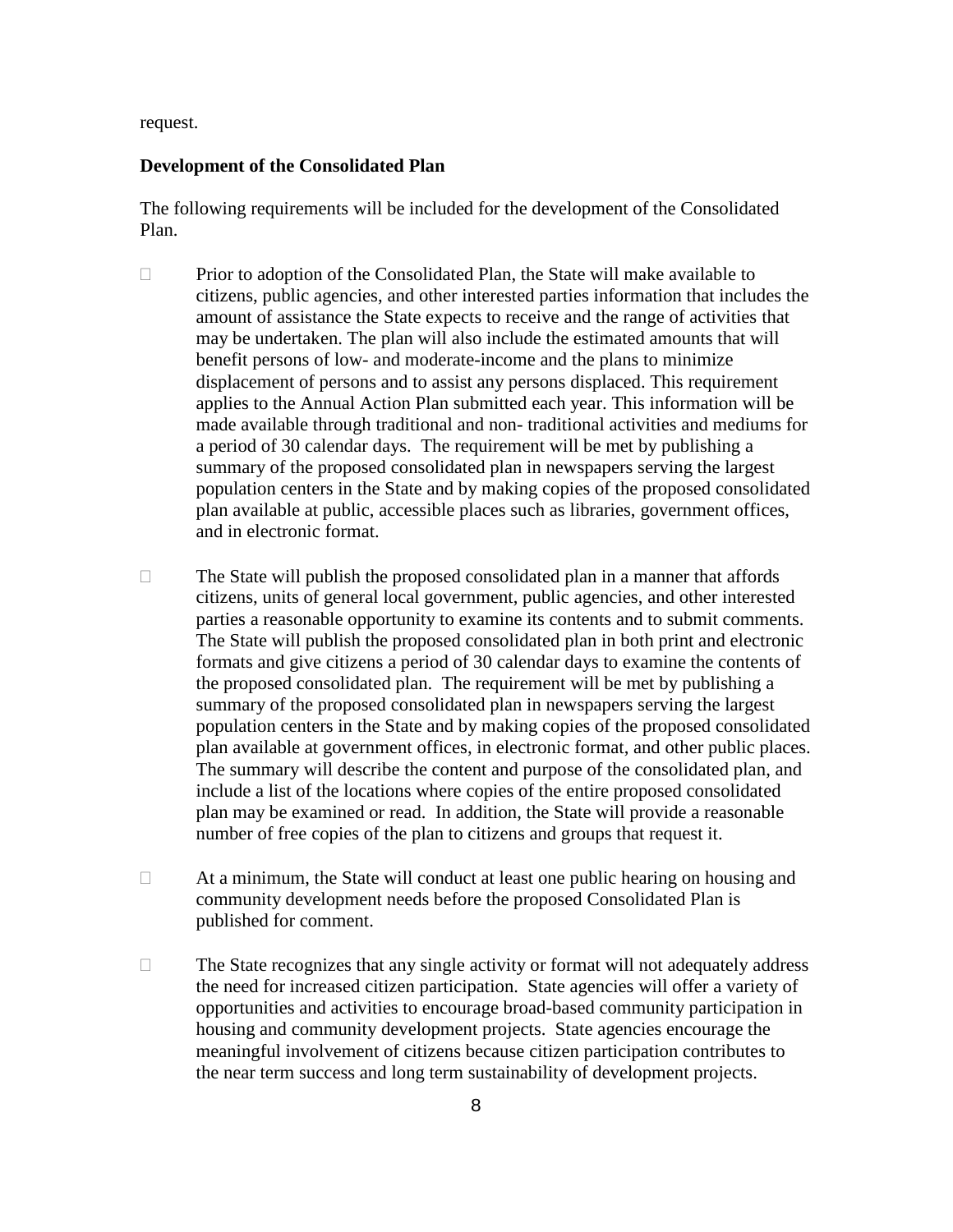request.

#### **Development of the Consolidated Plan**

The following requirements will be included for the development of the Consolidated Plan.

- $\Box$  Prior to adoption of the Consolidated Plan, the State will make available to citizens, public agencies, and other interested parties information that includes the amount of assistance the State expects to receive and the range of activities that may be undertaken. The plan will also include the estimated amounts that will benefit persons of low- and moderate-income and the plans to minimize displacement of persons and to assist any persons displaced. This requirement applies to the Annual Action Plan submitted each year. This information will be made available through traditional and non- traditional activities and mediums for a period of 30 calendar days. The requirement will be met by publishing a summary of the proposed consolidated plan in newspapers serving the largest population centers in the State and by making copies of the proposed consolidated plan available at public, accessible places such as libraries, government offices, and in electronic format.
- $\Box$  The State will publish the proposed consolidated plan in a manner that affords citizens, units of general local government, public agencies, and other interested parties a reasonable opportunity to examine its contents and to submit comments. The State will publish the proposed consolidated plan in both print and electronic formats and give citizens a period of 30 calendar days to examine the contents of the proposed consolidated plan. The requirement will be met by publishing a summary of the proposed consolidated plan in newspapers serving the largest population centers in the State and by making copies of the proposed consolidated plan available at government offices, in electronic format, and other public places. The summary will describe the content and purpose of the consolidated plan, and include a list of the locations where copies of the entire proposed consolidated plan may be examined or read. In addition, the State will provide a reasonable number of free copies of the plan to citizens and groups that request it.
- $\Box$  At a minimum, the State will conduct at least one public hearing on housing and community development needs before the proposed Consolidated Plan is published for comment.
- $\Box$  The State recognizes that any single activity or format will not adequately address the need for increased citizen participation. State agencies will offer a variety of opportunities and activities to encourage broad-based community participation in housing and community development projects. State agencies encourage the meaningful involvement of citizens because citizen participation contributes to the near term success and long term sustainability of development projects.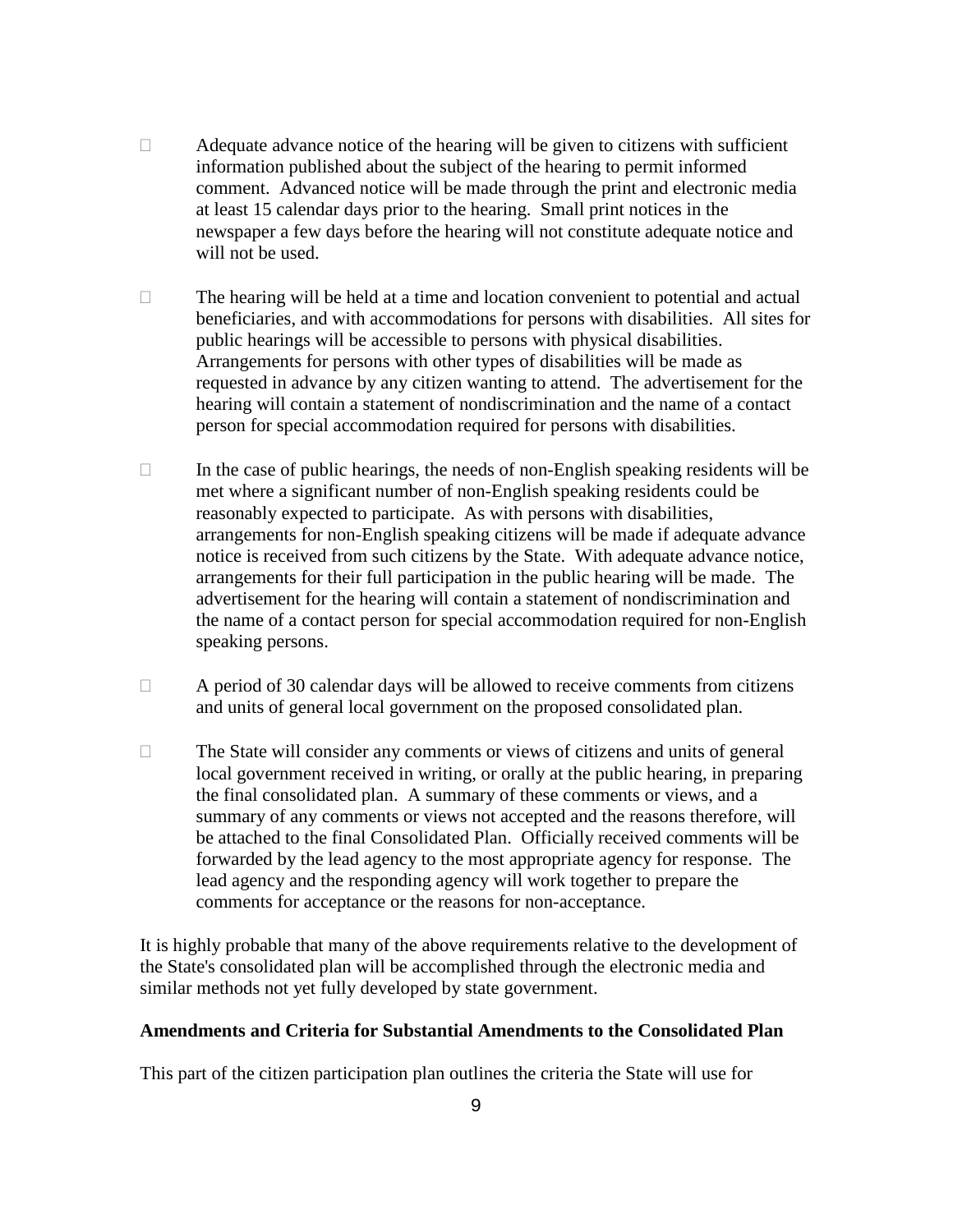- $\Box$  Adequate advance notice of the hearing will be given to citizens with sufficient information published about the subject of the hearing to permit informed comment. Advanced notice will be made through the print and electronic media at least 15 calendar days prior to the hearing. Small print notices in the newspaper a few days before the hearing will not constitute adequate notice and will not be used.
- $\Box$  The hearing will be held at a time and location convenient to potential and actual beneficiaries, and with accommodations for persons with disabilities. All sites for public hearings will be accessible to persons with physical disabilities. Arrangements for persons with other types of disabilities will be made as requested in advance by any citizen wanting to attend. The advertisement for the hearing will contain a statement of nondiscrimination and the name of a contact person for special accommodation required for persons with disabilities.
- $\Box$  In the case of public hearings, the needs of non-English speaking residents will be met where a significant number of non-English speaking residents could be reasonably expected to participate. As with persons with disabilities, arrangements for non-English speaking citizens will be made if adequate advance notice is received from such citizens by the State. With adequate advance notice, arrangements for their full participation in the public hearing will be made. The advertisement for the hearing will contain a statement of nondiscrimination and the name of a contact person for special accommodation required for non-English speaking persons.
- $\Box$  A period of 30 calendar days will be allowed to receive comments from citizens and units of general local government on the proposed consolidated plan.
- $\Box$  The State will consider any comments or views of citizens and units of general local government received in writing, or orally at the public hearing, in preparing the final consolidated plan. A summary of these comments or views, and a summary of any comments or views not accepted and the reasons therefore, will be attached to the final Consolidated Plan. Officially received comments will be forwarded by the lead agency to the most appropriate agency for response. The lead agency and the responding agency will work together to prepare the comments for acceptance or the reasons for non-acceptance.

It is highly probable that many of the above requirements relative to the development of the State's consolidated plan will be accomplished through the electronic media and similar methods not yet fully developed by state government.

### **Amendments and Criteria for Substantial Amendments to the Consolidated Plan**

This part of the citizen participation plan outlines the criteria the State will use for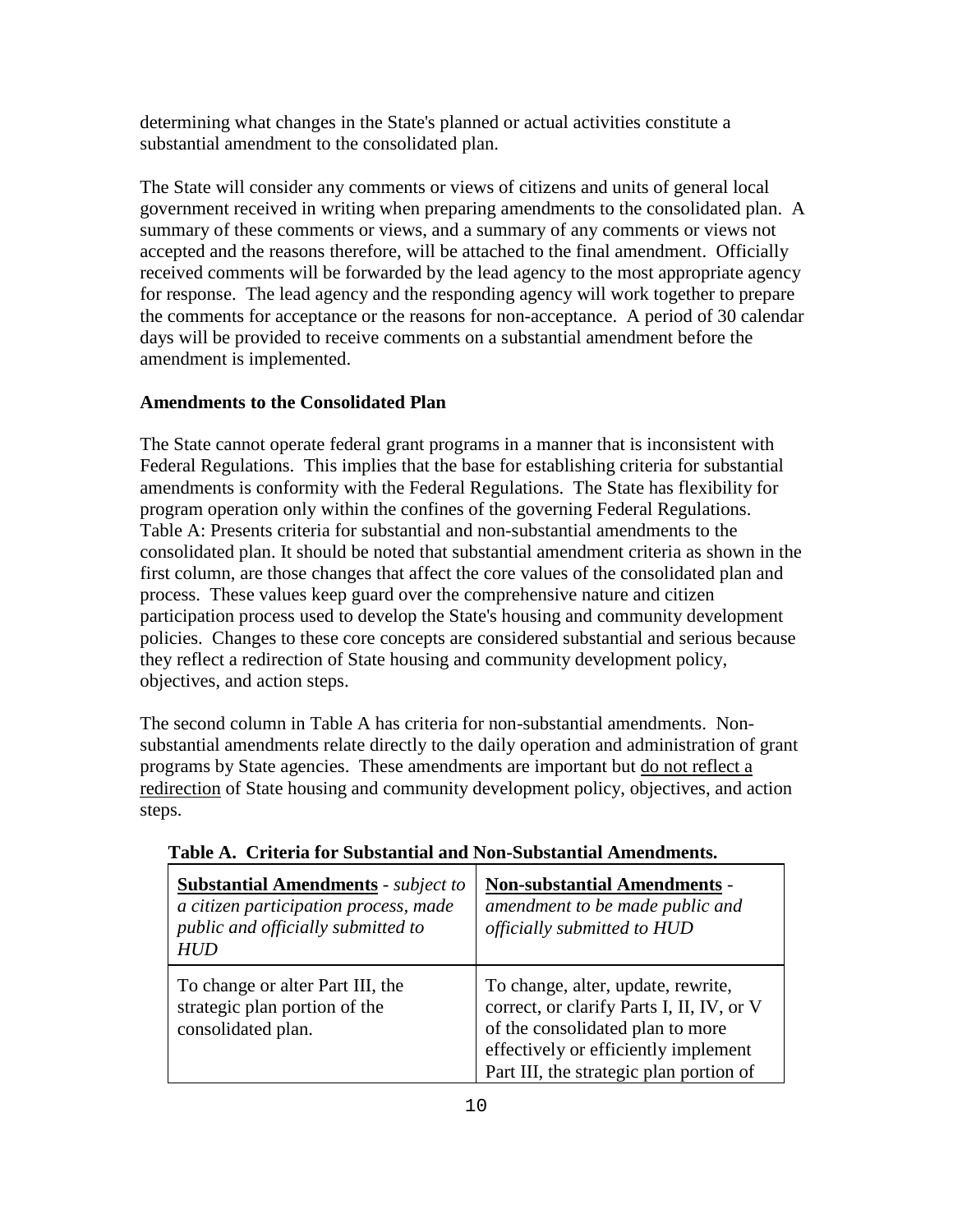determining what changes in the State's planned or actual activities constitute a substantial amendment to the consolidated plan.

The State will consider any comments or views of citizens and units of general local government received in writing when preparing amendments to the consolidated plan. A summary of these comments or views, and a summary of any comments or views not accepted and the reasons therefore, will be attached to the final amendment. Officially received comments will be forwarded by the lead agency to the most appropriate agency for response. The lead agency and the responding agency will work together to prepare the comments for acceptance or the reasons for non-acceptance. A period of 30 calendar days will be provided to receive comments on a substantial amendment before the amendment is implemented.

## **Amendments to the Consolidated Plan**

The State cannot operate federal grant programs in a manner that is inconsistent with Federal Regulations. This implies that the base for establishing criteria for substantial amendments is conformity with the Federal Regulations. The State has flexibility for program operation only within the confines of the governing Federal Regulations. Table A: Presents criteria for substantial and non-substantial amendments to the consolidated plan. It should be noted that substantial amendment criteria as shown in the first column, are those changes that affect the core values of the consolidated plan and process. These values keep guard over the comprehensive nature and citizen participation process used to develop the State's housing and community development policies. Changes to these core concepts are considered substantial and serious because they reflect a redirection of State housing and community development policy, objectives, and action steps.

The second column in Table A has criteria for non-substantial amendments. Nonsubstantial amendments relate directly to the daily operation and administration of grant programs by State agencies. These amendments are important but do not reflect a redirection of State housing and community development policy, objectives, and action steps.

| <b>Substantial Amendments</b> - subject to<br>a citizen participation process, made<br>public and officially submitted to<br><b>HUD</b> | <b>Non-substantial Amendments -</b><br>amendment to be made public and<br>officially submitted to HUD                                                                                                  |
|-----------------------------------------------------------------------------------------------------------------------------------------|--------------------------------------------------------------------------------------------------------------------------------------------------------------------------------------------------------|
| To change or alter Part III, the<br>strategic plan portion of the<br>consolidated plan.                                                 | To change, alter, update, rewrite,<br>correct, or clarify Parts I, II, IV, or V<br>of the consolidated plan to more<br>effectively or efficiently implement<br>Part III, the strategic plan portion of |

## **Table A. Criteria for Substantial and Non-Substantial Amendments.**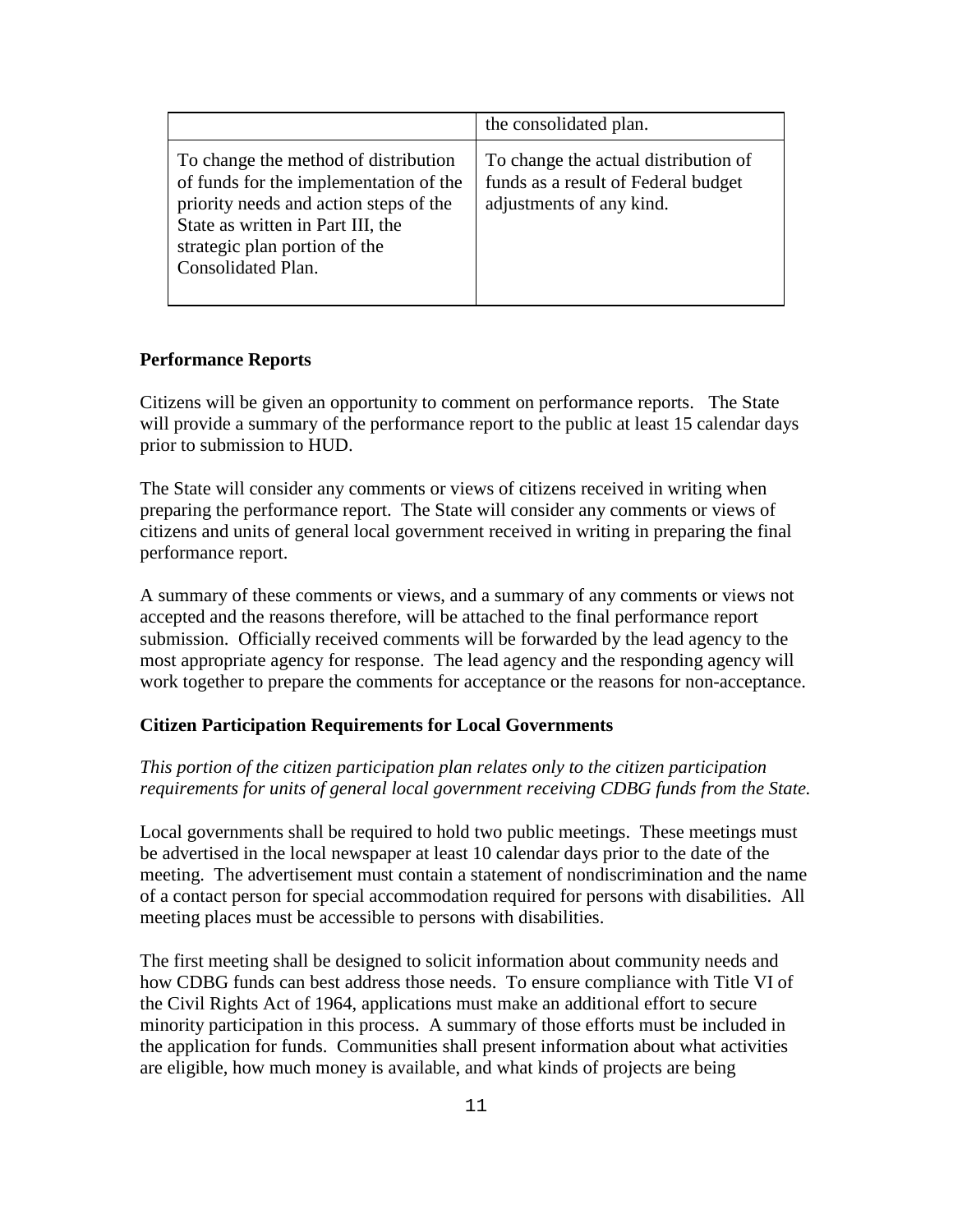|                                                                                                                                                                                                                      | the consolidated plan.                                                                                  |
|----------------------------------------------------------------------------------------------------------------------------------------------------------------------------------------------------------------------|---------------------------------------------------------------------------------------------------------|
| To change the method of distribution<br>of funds for the implementation of the<br>priority needs and action steps of the<br>State as written in Part III, the<br>strategic plan portion of the<br>Consolidated Plan. | To change the actual distribution of<br>funds as a result of Federal budget<br>adjustments of any kind. |

### **Performance Reports**

Citizens will be given an opportunity to comment on performance reports. The State will provide a summary of the performance report to the public at least 15 calendar days prior to submission to HUD.

The State will consider any comments or views of citizens received in writing when preparing the performance report. The State will consider any comments or views of citizens and units of general local government received in writing in preparing the final performance report.

A summary of these comments or views, and a summary of any comments or views not accepted and the reasons therefore, will be attached to the final performance report submission. Officially received comments will be forwarded by the lead agency to the most appropriate agency for response. The lead agency and the responding agency will work together to prepare the comments for acceptance or the reasons for non-acceptance.

## **Citizen Participation Requirements for Local Governments**

## *This portion of the citizen participation plan relates only to the citizen participation requirements for units of general local government receiving CDBG funds from the State.*

Local governments shall be required to hold two public meetings. These meetings must be advertised in the local newspaper at least 10 calendar days prior to the date of the meeting. The advertisement must contain a statement of nondiscrimination and the name of a contact person for special accommodation required for persons with disabilities. All meeting places must be accessible to persons with disabilities.

The first meeting shall be designed to solicit information about community needs and how CDBG funds can best address those needs. To ensure compliance with Title VI of the Civil Rights Act of 1964, applications must make an additional effort to secure minority participation in this process. A summary of those efforts must be included in the application for funds. Communities shall present information about what activities are eligible, how much money is available, and what kinds of projects are being